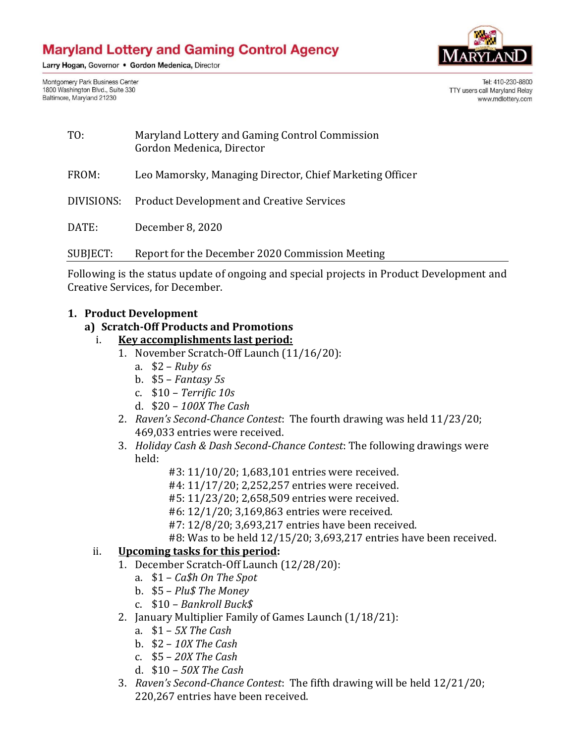Larry Hogan, Governor . Gordon Medenica, Director

Montgomery Park Business Center 1800 Washington Blvd., Suite 330 Baltimore, Maryland 21230



Tel: 410-230-8800 TTY users call Maryland Relay www.mdlottery.com

| TO:        | Maryland Lottery and Gaming Control Commission<br>Gordon Medenica, Director |
|------------|-----------------------------------------------------------------------------|
| FROM:      | Leo Mamorsky, Managing Director, Chief Marketing Officer                    |
| DIVISIONS: | <b>Product Development and Creative Services</b>                            |
| DATE:      | December 8, 2020                                                            |
| SUBJECT:   | Report for the December 2020 Commission Meeting                             |

Following is the status update of ongoing and special projects in Product Development and Creative Services, for December.

#### **1. Product Development**

#### **a) Scratch-Off Products and Promotions**

- i. **Key accomplishments last period:**
	- 1. November Scratch-Off Launch (11/16/20):
		- a. \$2 *Ruby 6s*
		- b. \$5 *Fantasy 5s*
		- c. \$10 *Terrific 10s*
		- d. \$20 *100X The Cash*
	- 2. *Raven's Second-Chance Contest*: The fourth drawing was held 11/23/20; 469,033 entries were received.
	- 3. *Holiday Cash & Dash Second*-*Chance Contest*: The following drawings were held:
		- #3: 11/10/20; 1,683,101 entries were received.
		- #4: 11/17/20; 2,252,257 entries were received.
		- #5: 11/23/20; 2,658,509 entries were received.
		- #6: 12/1/20; 3,169,863 entries were received.
		- #7: 12/8/20; 3,693,217 entries have been received.
		- #8: Was to be held 12/15/20; 3,693,217 entries have been received.

#### ii. **Upcoming tasks for this period:**

- 1. December Scratch-Off Launch (12/28/20):
	- a. \$1 *Ca\$h On The Spot*
	- b. \$5 *Plu\$ The Money*
	- c. \$10 *Bankroll Buck\$*
- 2. January Multiplier Family of Games Launch (1/18/21):
	- a. \$1 *5X The Cash*
	- b. \$2 *10X The Cash*
	- c. \$5 *20X The Cash*
	- d. \$10 *50X The Cash*
- 3. *Raven's Second-Chance Contest*: The fifth drawing will be held 12/21/20; 220,267 entries have been received.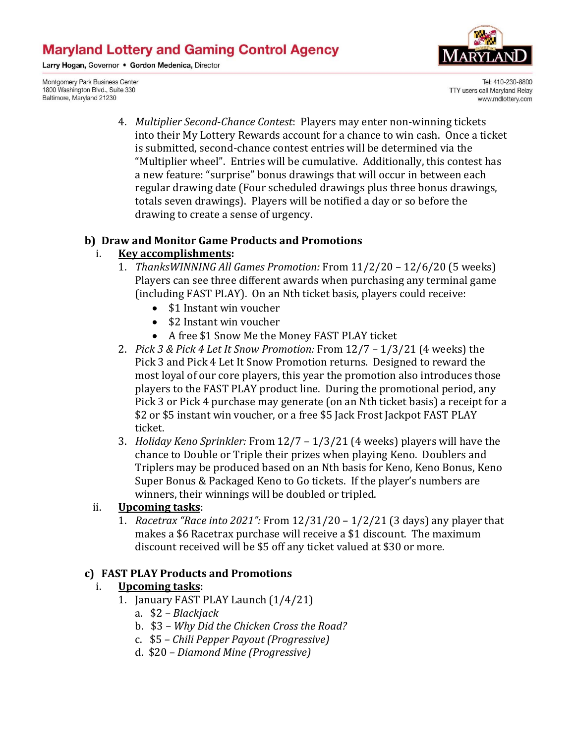Larry Hogan, Governor . Gordon Medenica, Director

Montgomery Park Business Center 1800 Washington Blvd., Suite 330 Baltimore, Maryland 21230



Tel: 410-230-8800 TTY users call Maryland Relay www.mdlottery.com

4. *Multiplier Second*-*Chance Contest*: Players may enter non-winning tickets into their My Lottery Rewards account for a chance to win cash. Once a ticket is submitted, second-chance contest entries will be determined via the "Multiplier wheel". Entries will be cumulative. Additionally, this contest has a new feature: "surprise" bonus drawings that will occur in between each regular drawing date (Four scheduled drawings plus three bonus drawings, totals seven drawings). Players will be notified a day or so before the drawing to create a sense of urgency.

#### **b) Draw and Monitor Game Products and Promotions**

#### i. **Key accomplishments:**

- 1. *ThanksWINNING All Games Promotion:* From 11/2/20 12/6/20 (5 weeks) Players can see three different awards when purchasing any terminal game (including FAST PLAY). On an Nth ticket basis, players could receive:
	- \$1 Instant win voucher
	- \$2 Instant win voucher
	- A free \$1 Snow Me the Money FAST PLAY ticket
- 2. *Pick 3 & Pick 4 Let It Snow Promotion:* From 12/7 1/3/21 (4 weeks) the Pick 3 and Pick 4 Let It Snow Promotion returns. Designed to reward the most loyal of our core players, this year the promotion also introduces those players to the FAST PLAY product line. During the promotional period, any Pick 3 or Pick 4 purchase may generate (on an Nth ticket basis) a receipt for a \$2 or \$5 instant win voucher, or a free \$5 Jack Frost Jackpot FAST PLAY ticket.
- 3. *Holiday Keno Sprinkler:* From 12/7 1/3/21 (4 weeks) players will have the chance to Double or Triple their prizes when playing Keno. Doublers and Triplers may be produced based on an Nth basis for Keno, Keno Bonus, Keno Super Bonus & Packaged Keno to Go tickets. If the player's numbers are winners, their winnings will be doubled or tripled.

#### ii. **Upcoming tasks**:

1. *Racetrax "Race into 2021":* From 12/31/20 – 1/2/21 (3 days) any player that makes a \$6 Racetrax purchase will receive a \$1 discount. The maximum discount received will be \$5 off any ticket valued at \$30 or more.

#### **c) FAST PLAY Products and Promotions**

#### i. **Upcoming tasks**:

- 1. January FAST PLAY Launch (1/4/21)
	- a. \$2 *– Blackjack*
	- b. \$3 *– Why Did the Chicken Cross the Road?*
	- c. \$5 *– Chili Pepper Payout (Progressive)*
	- d. \$20 *– Diamond Mine (Progressive)*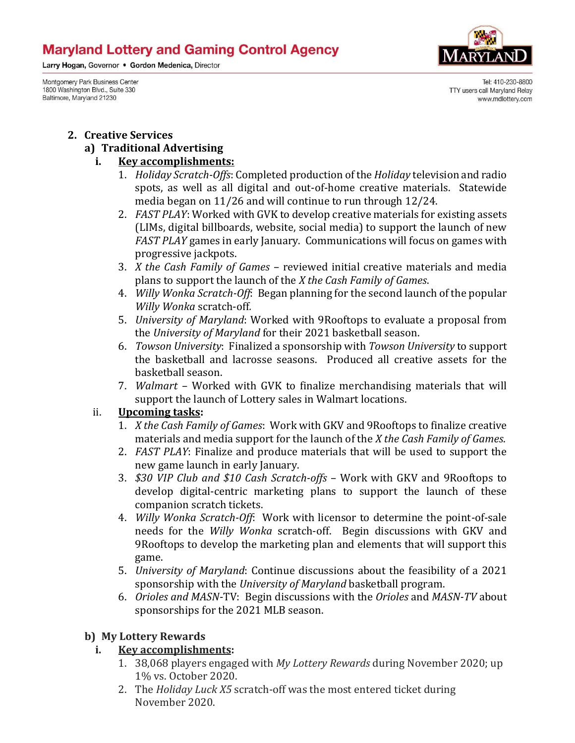Larry Hogan, Governor . Gordon Medenica, Director

Montgomery Park Business Center 1800 Washington Blvd., Suite 330 Baltimore, Maryland 21230



Tel: 410-230-8800 TTY users call Maryland Relay www.mdlottery.com

#### **2. Creative Services**

#### **a) Traditional Advertising**

#### **i. Key accomplishments:**

- 1. *Holiday Scratch-Offs*: Completed production of the *Holiday* television and radio spots, as well as all digital and out-of-home creative materials. Statewide media began on 11/26 and will continue to run through 12/24.
- 2. *FAST PLAY*: Worked with GVK to develop creative materials for existing assets (LIMs, digital billboards, website, social media) to support the launch of new *FAST PLAY* games in early January. Communications will focus on games with progressive jackpots.
- 3. *X the Cash Family of Games*  reviewed initial creative materials and media plans to support the launch of the *X the Cash Family of Games*.
- 4. *Willy Wonka Scratch-Off*: Began planning for the second launch of the popular *Willy Wonka* scratch-off*.*
- 5. *University of Maryland*: Worked with 9Rooftops to evaluate a proposal from the *University of Maryland* for their 2021 basketball season.
- 6. *Towson University*: Finalized a sponsorship with *Towson University* to support the basketball and lacrosse seasons. Produced all creative assets for the basketball season.
- 7. *Walmart*  Worked with GVK to finalize merchandising materials that will support the launch of Lottery sales in Walmart locations.

## ii. **Upcoming tasks:**

- 1. *X the Cash Family of Games*: Work with GKV and 9Rooftops to finalize creative materials and media support for the launch of the *X the Cash Family of Games*.
- 2. *FAST PLAY*: Finalize and produce materials that will be used to support the new game launch in early January.
- 3. *\$30 VIP Club and \$10 Cash Scratch-offs*  Work with GKV and 9Rooftops to develop digital-centric marketing plans to support the launch of these companion scratch tickets.
- 4. *Willy Wonka Scratch-Off*: Work with licensor to determine the point-of-sale needs for the *Willy Wonka* scratch-off. Begin discussions with GKV and 9Rooftops to develop the marketing plan and elements that will support this game.
- 5. *University of Maryland*: Continue discussions about the feasibility of a 2021 sponsorship with the *University of Maryland* basketball program.
- 6. *Orioles and MASN*-TV: Begin discussions with the *Orioles* and *MASN-TV* about sponsorships for the 2021 MLB season.

## **b) My Lottery Rewards**

## **i. Key accomplishments:**

- 1. 38,068 players engaged with *My Lottery Rewards* during November 2020; up 1% vs. October 2020.
- 2. The *Holiday Luck X5* scratch-off was the most entered ticket during November 2020.